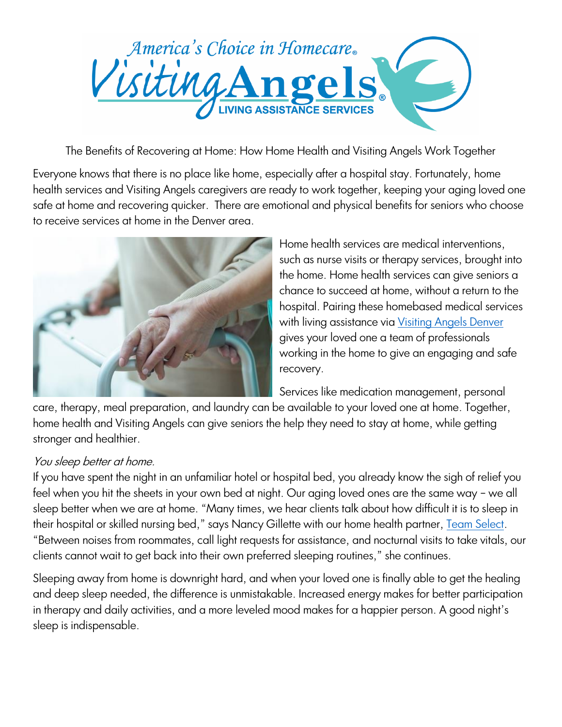

The Benefits of Recovering at Home: How Home Health and Visiting Angels Work Together

Everyone knows that there is no place like home, especially after a hospital stay. Fortunately, home health services and Visiting Angels caregivers are ready to work together, keeping your aging loved one safe at home and recovering quicker. There are emotional and physical benefits for seniors who choose to receive services at home in the Denver area.



Home health services are medical interventions, such as nurse visits or therapy services, brought into the home. Home health services can give seniors a chance to succeed at home, without a return to the hospital. Pairing these homebased medical services with living assistance via *Visiting Angels Denver* gives your loved one a team of professionals working in the home to give an engaging and safe recovery.

Services like medication management, personal

care, therapy, meal preparation, and laundry can be available to your loved one at home. Together, home health and Visiting Angels can give seniors the help they need to stay at home, while getting stronger and healthier.

## You sleep better at home.

If you have spent the night in an unfamiliar hotel or hospital bed, you already know the sigh of relief you feel when you hit the sheets in your own bed at night. Our aging loved ones are the same way – we all sleep better when we are at home. "Many times, we hear clients talk about how difficult it is to sleep in their hospital or skilled nursing bed," says Nancy Gillette with our home health partner, [Team Select.](https://teamselecthh.com/) "Between noises from roommates, call light requests for assistance, and nocturnal visits to take vitals, our clients cannot wait to get back into their own preferred sleeping routines," she continues.

Sleeping away from home is downright hard, and when your loved one is finally able to get the healing and deep sleep needed, the difference is unmistakable. Increased energy makes for better participation in therapy and daily activities, and a more leveled mood makes for a happier person. A good night's sleep is indispensable.